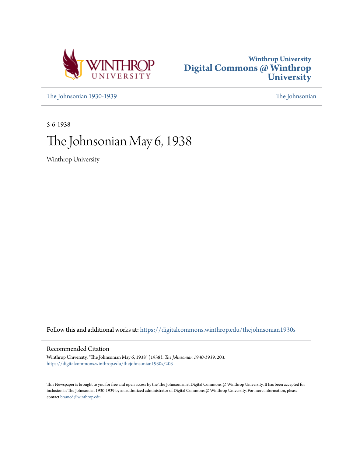



[The Johnsonian 1930-1939](https://digitalcommons.winthrop.edu/thejohnsonian1930s?utm_source=digitalcommons.winthrop.edu%2Fthejohnsonian1930s%2F203&utm_medium=PDF&utm_campaign=PDFCoverPages) [The Johnsonian](https://digitalcommons.winthrop.edu/thejohnsonian_newspaper?utm_source=digitalcommons.winthrop.edu%2Fthejohnsonian1930s%2F203&utm_medium=PDF&utm_campaign=PDFCoverPages)

5-6-1938

# The Johnsonian May 6, 1938

Winthrop University

Follow this and additional works at: [https://digitalcommons.winthrop.edu/thejohnsonian1930s](https://digitalcommons.winthrop.edu/thejohnsonian1930s?utm_source=digitalcommons.winthrop.edu%2Fthejohnsonian1930s%2F203&utm_medium=PDF&utm_campaign=PDFCoverPages)

## Recommended Citation

Winthrop University, "The Johnsonian May 6, 1938" (1938). *The Johnsonian 1930-1939*. 203. [https://digitalcommons.winthrop.edu/thejohnsonian1930s/203](https://digitalcommons.winthrop.edu/thejohnsonian1930s/203?utm_source=digitalcommons.winthrop.edu%2Fthejohnsonian1930s%2F203&utm_medium=PDF&utm_campaign=PDFCoverPages)

This Newspaper is brought to you for free and open access by the The Johnsonian at Digital Commons @ Winthrop University. It has been accepted for inclusion in The Johnsonian 1930-1939 by an authorized administrator of Digital Commons @ Winthrop University. For more information, please contact [bramed@winthrop.edu](mailto:bramed@winthrop.edu).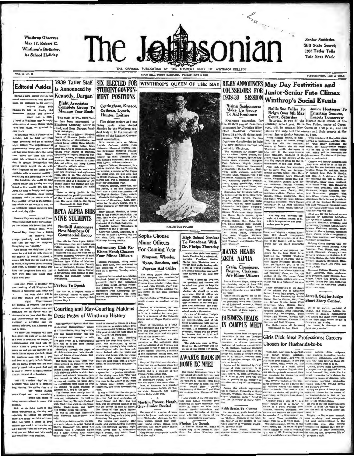**Winthrop Observes** May 12, Robert C. Winthrop's Birthday, As School Holiday



CE HILL, SOUTH CAROLINA, FRIDAY, MAY 6, 1938

**Senior Statistics** Still State Secret: 1938 Tatler Tells Tale Next Week

**VOL. 14, NO. 23** 

Editorial Asides Is Announced by Spring is here-almost over in fact Kennedy, Dargan nd commencement and summe horinning to fill conver-

ations. Along with

plana are beginning to havenum. Mong with  $\sum_{i=1}^{n}$  Complete Group To Cothran, Lynch,<br>
Heisears To said a leaving the Manage Year Book Cothran, Lynch,<br>
uniform came a leaving with  $\sum_{i=1}^{n}$  Manage Year Book Cothran,

we feverishly plunge ourselves into<br>work and play althe.

whose folks could come were so hap-<br>py that others felt better just being

around them. Win-<br>around them. Win-<br>tor handling large gradously and hospitably

arouge graciously and hospitaly<br>
alter heta Alpha, honor- Winthys Henry society.<br>
and this condition in caregive collear and the condition of the club. The<br>
Consenting was "smooth."<br>
Triday, according to Mary Ruth Astrono

Eight Associates **Complete Group To**<br>**Manage Year Book** 

STUDENT GOVERN-

**MENT POSITIONS** 

Cottingham, Kneece,

# BETA ALPHA BIDS THE CALL AND THE STUDENTS THE CALL AND THE CALL AND THE CALL AND THE CALL AND THE CALL AND THE CALL AND THE CALL AND THE CALL AND THE CALL AND THE CALL AND THE CALL AND THE CALL AND THE CALL AND THE CALL AN La' Day was much fun! Those NINE STUDENTS

### **Rudisill Ann** New Members Of **Commercial Group**

Nine bids for Beta Alpha, hono

 ${\small \hbox{Many Day Day, which is probably the probability.} \hfill {\small \hbox{Orampbump} \hfill {\small \hbox{Orampbump} \hfill {\small \hbox{Orampbump} \hfill {\small \hbox{Commutative} \hfill {\small \hbox{Commutative} \hfill {\small \hbox{Commutative} \hfill {\small \hbox{Commutative} \hfill {\small \hbox{Commutative} \hfill {\small \hbox{Commutative} \hfill {\small \hbox{Commutative} \hfill {\small \hbox{Commutative} \hfill {\small \hbox{Commutative} \hfill {\small \hbox{Commutative} \hfill {\small \hbox{Commutative} \hfill {\small \hbox{Commutative} \h$ 

Charle

tte Let er, Wit  $0.11$ 

**Minor Officers** 

The rising junior class elected<br>culah Simpson vice president of<br>re class; Kate Wheeler, trensurer;<br>rances Ryan, scerclary; Mary San-<br>ers and July Pegram, cheer lead-<br>ers and July Wright, athletic rep-<br>stentative in last cl

nts ween.<br>Harriet Culler of Wolfton was re-<br>catly chosen as president of the

 $\frac{1}{2}$ 

RALLIE WIR FULLER Samewhere C. Contract Contract Contract Contract Contract Contract Contract Contract Contract Contract Contract Contract Contract Contract Contract Contract Contract Contract Contract Contract Contract Contract Contract Co

**High School Seniors** To Broadcast With Dr. Phelps Thursday For Coming Year

Scolor class girls from several Scotte class given from several<br>South Carolina high achools will interview President Shelton<br>Pietips next Tuurnday Oriental Shelton<br>WSOC-WIS radio hookup with<br>a lots of typical quasilens they are asking the<br>meetres now abo Simpson, Wheeler, Ryan, Sanders, and Pegram Aid Culler The rising junior class elected

(net careers to make program)<br>Solely a guidance program<br>the questions and answers Select a guidance pregresa, and an<br>except and an except will show the questions and answers will high school girl determines<br>the based girl determines whether are based go to rest beyond help as<br> $\log n$ , what kind of celleg

# 1939 Tatler Staff SIX ELECTED FOR WINTHROP'S QUEEN OF THE MAY RILEY ANNOUNCES May Day Festivities and **COUNSELORS FOR Junior-Senior Fete Climax** 1938-39 SESSION Winthrop's Social Events

Rising Sophomor

Rising Sophomores<br>
Maile Sure Fuller Sure Fuller Sure Fuller To Luisine Sure Fuller To Aid Freehman Counter, Raintary Sure Fuller To Luisines Correll and the transformer.<br>
Freehman connectes for Ulitimative schemes in the

rd, Woodruff; and Caroline<br>iff, Woodruff.



Rogers, Clarkson,<br>Are Minor Officers

Laura Frances Hayes, rising sen-<br>or chemistry major of Rock Hill.<br>as elected president of Zeta Alpha Learn François Higgs (this perfect in the figure of the projection of the scheme is clear to product product the set of the set of the set of the set of the set of the set of the set of the set of the set of the set of th

Rallie Sue Fuller To

Junior Hostesses To

SUBSCRIPTION, .LO A VEAR

 $\left[$ turg; and Virginia Gourdin, Kinn- $\left[$ turnen; Gravet, Gokhamang, 1982<br> 1982<br> Atatic Power, ishbe arrangementle; trees, itself arrest of Dr. and Mrs. H. M. 337–16<br>tenently, decoration, and Elizabeth collection of the

Using an expression of the choice by the token  $\frac{\Delta x}{\Delta x}$  . The has ent him, a<br>function of the choice by the token  $\frac{\Delta x}{\Delta x}$ , or the same than the<br>and Rosemary Cross, as 1535, the biarry Politicity Express, Jonathan

Example 19 and May Court Platforms (School for Husbands Level of Stars Court of Husbands Level of Stars (School for Husbands Level of Stars Pick Level Processions Careers<br>
The Court of May Court of the Stars of Working Hus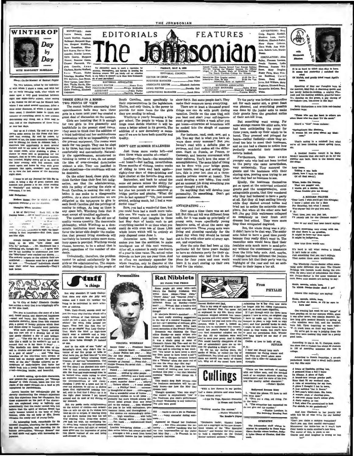

#### er: (In the Manner of Samuel Pepre)

Un very brilmes, called by the individu-To, way poline, called by the individue<br> $\frac{1}{2}$  with which a model of the field  $\frac{1}{2}$ <br>and with bar a cross, and with her for an early morning walk, after which we<br>can expose to the class upon a very good breakfast b the manuscript between the think and the control of everything about it, and without mining any thing, est a little and to nap, full of the displeasures of these truces

or four last days. Up and to my pre-<br>paring some state dools. Up and to my pre-<br>paring some stems, for the Press club ban-<br>quote that evening for model by and to compute the pressure of the<br>process of methods and the pres

I homes to set my Journal for this day in<br>ter, it being a day of great content and<br>mourn and pleasur.s to me. After reading<br>"Penhally" and taiking a little to the<br>onmate, I to bed.

### Add Defto

we Home: One in which a saiteb slates everythit g out the children. Thoughts White Strolling:

A bit of Hellywood Rock Hill, is the ning home...All it would need to public-

trithur 

Always thought that Garbo had something to do with "Live Alone and<br>Like II," purhaps. . Dr. Micodonald has redeenly<br>also use with bough  $\ell_{T}$ . . . . To meet with berthesing with the<br>party has been in the "Mayflower" eve 

Eliabeth<br>Margaret Bland<br>Margaret McMilba<br>Rosenblor The Johnsonial enger<br>ada ton, Margaret McMilhan,<br>Sara Rosenblum, Elizabeth Rogers, Harriet Wannamaker, Harriet Lawton,<br>Rdith Gentry, Margaret Hunter, Rosanne Eleanor Feaworth, Virrinta Gourdin. Aser Continues The Johnseles unats to merit a reputation on<br>On Martha Wefford, accessing, thereopheas, and thirness in avevering the<br>Watann, Elisian Unitative campus. Will you kindly call mer attaction<br>ago, Mauyline Ward, to an The Jobs Sara Watson, Elaine Schwinge, Maudine Ward,<br>Dot McCown, Jean Broun, on, sis of good jo ation?

REPORTERS: Annie

aune Donahi, Lourie Sterkey, Elisabeth<br>Ballenger, Marynaysti Blan-

Low Bettons, Jose Webbs, and the UNITORIAL ASSOCIATES that Papella Marie Research and Marie Papella June 1, 2014<br>Jam Richardson, Mary Bolivy Sourcev EDITORIAL ASSOCIATES<br>Jaint Richardson, Mary PHOTOGRAPHER ............... Charlotte Wheeler

#### THREE GIRLS IN A ROOM-TWO POINTS OF VIEW

e recent bulletin announcing that<br>dassmen halls may have three Th upperclas girls in a room next year has created a

great deal of discussion on the campus<br>Girls are insisting that it is enough for two girls to live pleasantly and healthfully in the present sized rooms. They seem to think that the addition of<br>a third individual and her multitudinous possessions will be an impossibility with<br>the present equipment. The rooms were<br>made for two people. They can be slept<br>in by three, but they cannot be lived in rtably and conveniently. Natural ly the upperclassmen, accustomed to thinking in terms of two, do not accept<br>the idea of over-crowded dormitories<br>without a stir. They are justified in<br>their objections—the conditions will not he desirable.

be desirable.<br>On the other hand, those girls who<br>think further than their first hot indignation, see that the administration,<br>with its policy of serving the state of<br>South Carolina, is making the only so-<br>lution it can ma problem. As a state institution we are obligated to the taxpayers to give to<br>each South Carolina girl the privilege of coming to college. As long as there is<br>any space left, Winthrop feels that it<br>must accept all qualified applicants.<br>The question may be the old one of

quality versus quantity. The democratic<br>philosophy, which Winthrop as a democratic institution must accept, would<br>favor the latter side despite the realiza tion that present living standards will inevitably be lowered unless more dorm-<br>itory space is provided. Winthrop would cho se, however, to be a school that is good, regardless of the number of stu dents.

Undoubtedly, therefore, the problem cannot be solved satisfactorily by the<br>girls or the administration. The responsibility belongs directly to the people of

tuff

South Carolina, more specifically to show for it. But some people don't. They their representatives in the legislature. make their summers mean everything. Theirs, and only theirs, is the power to There are at least a tho

**EDITORIALS** 

they are sending to school.<br>Winthrop is yearly becoming a bigger school. The people to whom it belongs must decide whether it will become a better school in its growth. The addition of a new dormitory is necesaddition of a new dormitory is neces-<br>sary if we are to have both quantity and quality.

#### DON'T GET SUMMER STALENESS

Just three more weeks left--hrt z-

Loafing-the beach-the mountains<br>-at home?-but loafing, nevertheless. Three months of visiting, invertiseses.<br>Three months of visiting, twelve weeks<br>of riding to town and back again-<br>eighty-four days of dope-drinking and

light chatter at the favorite drug store.<br>September, and back to school the same old person minus the ability for concentration and accurate thinkin concentration and accurate thinking—<br>but plus ten pounds or so—acquired at<br>hridge parties and pienies. "What did<br>you do last symmer?" "Oh, just messed<br>around, nothing much, but I had a won-<br>derful time!"

derful time!"<br>Sure, you had a wonderful time, but<br>you could have had a much more valu-<br>able one. We waste so much time just<br>fooling around. Just imagine in these<br>last hing days of heeite runh to get<br>everything handed in on whole hours which will be entirely at

your disposal come June 1.<br>Determine now, before the heat makes you lose the amhition, to make intelligent use of this next vacation. After all, a summer is really one-fourth<br>of a year in time value. The actual value depends on how you use your time. And so often we carelessly squander the whole vacation, only to discover at the end that we have absolutely nothing to

Personalities

**FEATURES** 

THE JOHNSONIAN

EDITORIAL COUNCIL

you best and start your soif-improvement program within a week after you get home-otherwise all intentions will<br>be aucked into the alough of summer indolen

iolence.<br>For instance, read, cook, sew, get a For Instance, read, cook, sew, get a<br>job. You say that is what you have always<br>ways done every summer? But you<br>haven't read with a definite plan or<br>purpose, and that makes all the difference. Start on Russia, or France, or Germany, and become conversant with<br>their cultures. You'll love the sense of accomplishment. The same kind of thing can be done with your bridge game, iors, this is your last shot at a threemonths private course at home). You could develop a new bobby. You could get an unusual job doing something you

never thought you'd do,<br>Do anything that will develop your<br>personality. Do senething. Don't get summer staleness.

#### ANTICIPATING ...

Once upon a time there was an ant<br>hill. But this ant hill was different from<br>most, for it was made up principally of most, for it was made up principally of<br>symmetry of about the same age of about the same and experience. These young ants were<br>and experience. These young ants were<br>living and pluning carefully for the<br>grant pluning carefu sex, and experience.<br>Now the ants that had been at this

particular hill for three years decided to have an elaborate party for their sla-<br>ter companions who had lived in the place for four years and soon would<br>leave it to start storing up their own<br>food for the winter.

ADVERTISING: Ros Craig, Engenia Kemlall,<br>Mendora Luta, Amelia<br>Maldrow, Elizabeth Faller, Mary Hayes<br>Chra Webb, e Calboun<br>Ase Wills mon, Sederie Lott, Margie<br>Denny, CIRCULATION: Allor Salky, Florence Lawson,<br>Amalia Versnee, Lydia as, Franets Wil Mary Douglas liams, Nancy Faris, Mary Frau

ad, Caro one<br>Gre  $_{\text{Ba}}$ \$1.00 Per Ve a Daley Marth Jones, Bell Willis<br>Haghaton, Elianh ne. Mar-

To the party was invited a masculine ant for each senior ant, a great feast<br>was planned, and everything possible<br>was done by the junior ants to make their guests have the grandest antics

of their ant-hill lives. But something went wrong. For<br>some strange reason the older ants, who<br>had been anticipating the event for have very made up their minds to be<br>bored. They preened and primped for<br>hours—rather foolishly—since they arrived too late to meet their hoste and no one had a chance to notice how<br>perfectly wonderful their masculine<br>escorts looked.

Furthermore, there were some<br>younger ants who had not been invited to the party who came nevertheless, very antisocially. They annoyed the guests and the hostesses with their staring eyes, peering eyes trying to see<br>what they had no business to see.<br>Einally, the hostesses themselves

 $\label{eq:2} \begin{minipage}{0.9\textwidth} \begin{tabular}{p{0.8cm}} \textbf{g} & \textbf{size} & \textbf{in} & \textbf{me} \\ \textbf{g} & \textbf{sys} & \textbf{sys} & \textbf{sys} \\ \textbf{gas} & \textbf{sys} & \textbf{max} & \textbf{max} \\ \textbf{g} & \textbf{loss} & \textbf{max} & \textbf{max} \\ \textbf{m} & \textbf{sys} & \textbf{max} & \textbf{max} \\ \textbf{m} & \textbf{sys} & \textbf{max} & \textbf{max} \\ \textbf{m} & \textbf{sys} & \textbf{$ tried not to notice the antarctic atmostried not to notice the antarctic atmos-<br>phere. But when all the other ants had<br>left ,<br>the gay little waitresses collapsed<br>as completely as their fresh stiff<br>dresses had witted. They were more<br>limp than antiquated dogwood.

From an<br>unquare organous comproming the phase play. It didn't have to be that way. The senior<br>ants failed to have a good time purely<br>because they really didn't want to. The<br>masculine ants would have liked their<br>feminine a acy without the unnecessary comments m the little baby ants. And, may<br>hings had been different the juni  $f_{\rm F}$ ad, maybe if this would bave felt that their party was the highlight of the year and not an anti-<br>climax to their hopes a 'ter all.

金  $\overline{\phantom{a}}$ N<br>G

It is so hard to think that May is here.<br>It seems but yesterday I watched the ₹

Of Mafeh, and smally dried sweet April's

Speaking of May our thoughts turn to<br>the morrow, May Day. A charming queen and<br>her levely ladies-in-waiting, a mighty Pha-<br>coah and his dashing soldiers, graevial beau-<br>lie, dancing on the grown, a gay throng of ma maning somme, gracers<br>mg on the green, a gay the

Betty Richardson a cute little red-b **In sava:** 

.<br>Those who see the least in other<br>these who use their To' the most

Heard a "blus" lamie exclaim:

pringtima's like diminess,<br>woman let me gang about my bind-

That's asying in a nutshell just what

A freekisd freshie (could it be Be<br>ngain!) lamenta that she can't go in for popular sun bath. Here is the doisitul se<br>she sings:

Lary besste<br>Taking a man bath<br>(Goah, how i inset to think<br>Of all that mush!)

Whew, looks the freshing<br>That are poppin' out,<br>I wanta get a sunian, leat

e freekles give ma dou

A MODERN PEAYER<br>"Dear Lord, I wish you'd get this<br>I know I saked you for a date<br>For Saturday, but what I mean  $P. B.$ 

was.<br>"Next time, you can just bet,<br>I'll plainly aak for the Clema

One of our staff has been heard saying

There's something very wrong with me,<br>Of that there is no quasifor,<br>It might be love--bu' then again<br>It might be indigenden.

How true these words are:

It's hard to tell what makes a friend, It lan't lo is or style: Just something that you can't explain

The Windbrop Junior-Senker offers some-<br>ing quite different this year. The Citadel Buildogs will familyh music during the evening. By some aind of coincidence the Glem-<br>ning. By some aind of coincidence the Glem-<br>non-Junior-Semior is the same weakend as<br>ours. Some cute seniors are having to say:

Ernie, merale, minie, mee,<br>Te which Junier-Senior shall I go?

Others (the majority) are saying:

Ecais, merale, minis, man,<br>l've invited six dates, se l'il be sure to<br>have cast

One evening last week we as<br>w "gange" of  $\log n$  possing on the state are<br>welf as a share are one can calculate the state are of the state<br>of the state of the state of the state of the state of the behavior<br> $\log n$  were full.

m the time they were making th

According to the B. M. U. Campus, at the B. M. U. Campus, at the a student has about 30 chain in 100 of marrying someone she me

 $\overline{\phantom{a}}$ According to Norah Smaridge, a co-ed<br>pocketbook would rival a small boy's pock-<br>any day. She aays:

 $\begin{array}{c} \text{and any}\\ \text{where of light has}\end{array} \begin{minipage}{.4\textwidth} \begin{minipage}{.4\textwidth} \begin{minipage}{.4\textwidth} \begin{minipage}{.4\textwidth} \begin{minipage}{.4\textwidth} \begin{minipage}{.4\textwidth} \begin{minipage}{.4\textwidth} \begin{minipage}{.4\textwidth} \begin{minipage}{.4\textwidth} \begin{minipage}{.4\textwidth} \begin{minipage}{.4\textwidth} \begin{minipage}{.4\textwidth} \begin{minipage}{.4\textwidth} \begin{minipage}{.4\textwidth} \begin{minipage}{.4\textwidth}$ 

And Ann Clarkson in her jaunty way

spirits:<br>"Can't you claim a campus contortion? "Cam's you cannot a campus contountant."<br>Cam's you can that candid convulsion!<br>Manowover the tickle-box so it won't turn<br>Over inside to make another's free burn,<br>The moral of this, is plain to see<br>Coarse and soud laughter

WEBSTEIN

**Rat Nibblets** 





The plot is humidrum—the story of a lost scale from<br>the story of a lost scale from depth), and discovered large<br>means and heavy. But Caudely, with remainable detectric, blows from this<br>common plot, a galaxy of bushidy pic

modern estting, up-to-date characters, a present-day conversations, ret "Strange<br>mee" by Cora Jarrett, takes one into the<br>hm of the super-normal-to a land as yet ed by psychologists.

Jarrett handles her unbelievable plot by cleverly checkmating<br>with like chiections fr om her characters. But nents on the part of the charac-**MATE** are explained away no logically and<br>insultrially that the reader cannot help but allows that the airful of Miriam Brees has<br>ally become housed in the body of Dolly labor, while the old point<br>which the oid point of the fir

An interesting book, remarkable for its<br>communi situation, absorbing for its questioning and imagination, and charming for its<br>human personalities, "Strange Houses" can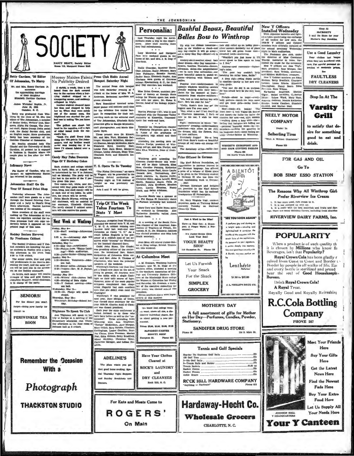